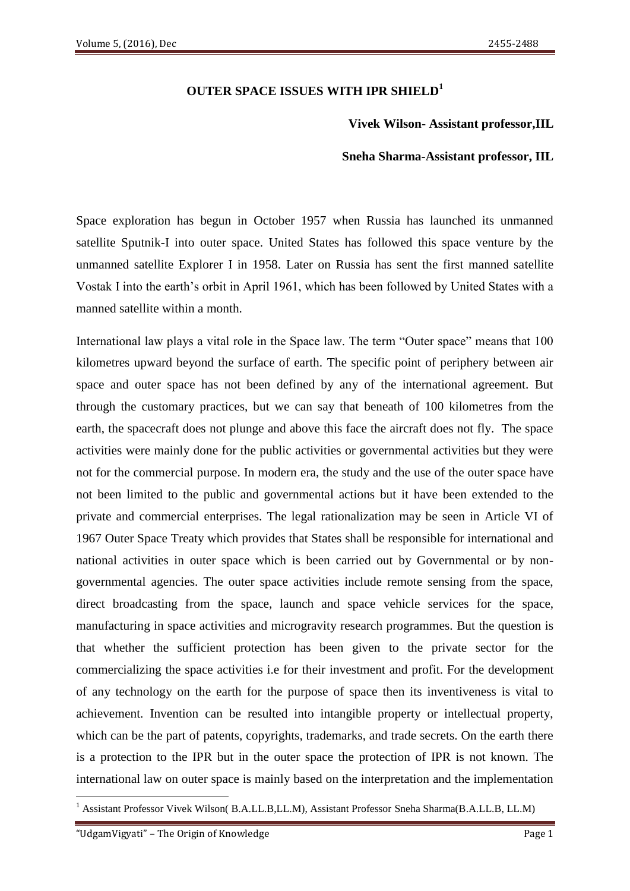## **OUTER SPACE ISSUES WITH IPR SHIELD<sup>1</sup>**

#### **Vivek Wilson- Assistant professor,IIL**

#### **Sneha Sharma-Assistant professor, IIL**

Space exploration has begun in October 1957 when Russia has launched its unmanned satellite Sputnik-I into outer space. United States has followed this space venture by the unmanned satellite Explorer I in 1958. Later on Russia has sent the first manned satellite Vostak I into the earth's orbit in April 1961, which has been followed by United States with a manned satellite within a month.

International law plays a vital role in the Space law. The term "Outer space" means that 100 kilometres upward beyond the surface of earth. The specific point of periphery between air space and outer space has not been defined by any of the international agreement. But through the customary practices, but we can say that beneath of 100 kilometres from the earth, the spacecraft does not plunge and above this face the aircraft does not fly. The space activities were mainly done for the public activities or governmental activities but they were not for the commercial purpose. In modern era, the study and the use of the outer space have not been limited to the public and governmental actions but it have been extended to the private and commercial enterprises. The legal rationalization may be seen in Article VI of 1967 Outer Space Treaty which provides that States shall be responsible for international and national activities in outer space which is been carried out by Governmental or by nongovernmental agencies. The outer space activities include remote sensing from the space, direct broadcasting from the space, launch and space vehicle services for the space, manufacturing in space activities and microgravity research programmes. But the question is that whether the sufficient protection has been given to the private sector for the commercializing the space activities i.e for their investment and profit. For the development of any technology on the earth for the purpose of space then its inventiveness is vital to achievement. Invention can be resulted into intangible property or intellectual property, which can be the part of patents, copyrights, trademarks, and trade secrets. On the earth there is a protection to the IPR but in the outer space the protection of IPR is not known. The international law on outer space is mainly based on the interpretation and the implementation

**.** 

<sup>&</sup>lt;sup>1</sup> Assistant Professor Vivek Wilson( B.A.LL.B,LL.M), Assistant Professor Sneha Sharma(B.A.LL.B, LL.M)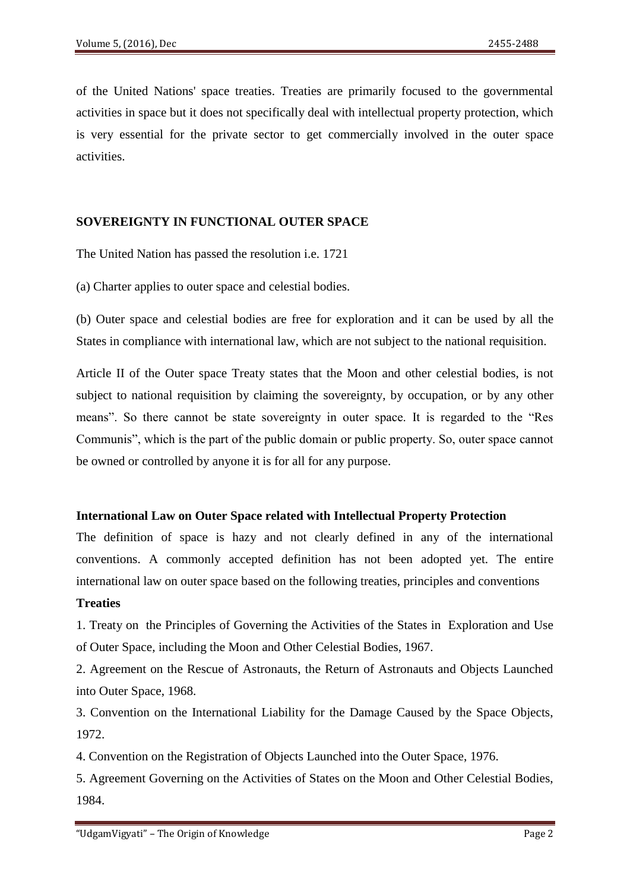of the United Nations' space treaties. Treaties are primarily focused to the governmental activities in space but it does not specifically deal with intellectual property protection, which is very essential for the private sector to get commercially involved in the outer space activities.

### **SOVEREIGNTY IN FUNCTIONAL OUTER SPACE**

The United Nation has passed the resolution i.e. 1721

(a) Charter applies to outer space and celestial bodies.

(b) Outer space and celestial bodies are free for exploration and it can be used by all the States in compliance with international law, which are not subject to the national requisition.

Article II of the Outer space Treaty states that the Moon and other celestial bodies, is not subject to national requisition by claiming the sovereignty, by occupation, or by any other means". So there cannot be state sovereignty in outer space. It is regarded to the "Res Communis", which is the part of the public domain or public property. So, outer space cannot be owned or controlled by anyone it is for all for any purpose.

#### **International Law on Outer Space related with Intellectual Property Protection**

The definition of space is hazy and not clearly defined in any of the international conventions. A commonly accepted definition has not been adopted yet. The entire international law on outer space based on the following treaties, principles and conventions

#### **Treaties**

1. Treaty on the Principles of Governing the Activities of the States in Exploration and Use of Outer Space, including the Moon and Other Celestial Bodies, 1967.

2. Agreement on the Rescue of Astronauts, the Return of Astronauts and Objects Launched into Outer Space, 1968.

3. Convention on the International Liability for the Damage Caused by the Space Objects, 1972.

4. Convention on the Registration of Objects Launched into the Outer Space, 1976.

5. Agreement Governing on the Activities of States on the Moon and Other Celestial Bodies, 1984.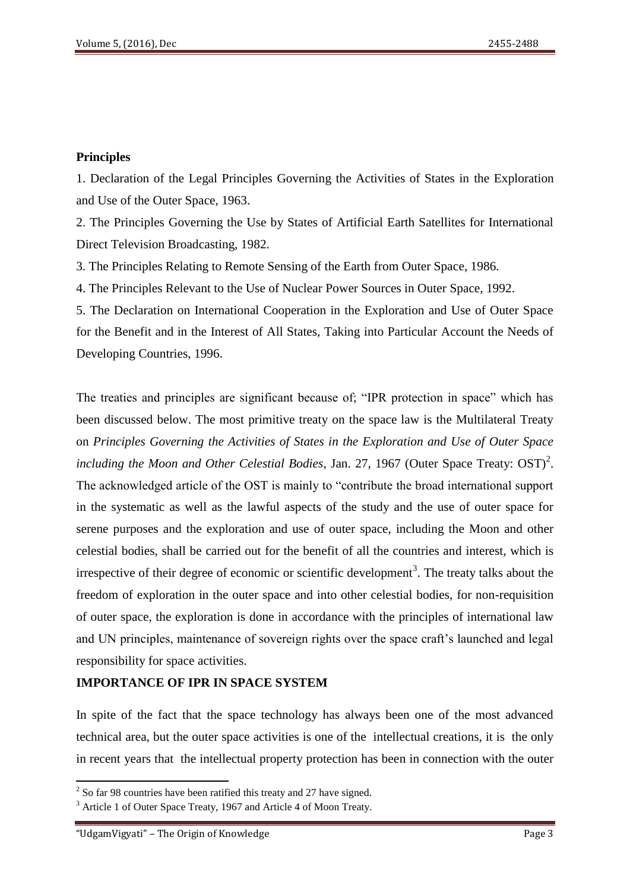#### **Principles**

1. Declaration of the Legal Principles Governing the Activities of States in the Exploration and Use of the Outer Space, 1963.

2. The Principles Governing the Use by States of Artificial Earth Satellites for International Direct Television Broadcasting, 1982.

3. The Principles Relating to Remote Sensing of the Earth from Outer Space, 1986.

4. The Principles Relevant to the Use of Nuclear Power Sources in Outer Space, 1992.

5. The Declaration on International Cooperation in the Exploration and Use of Outer Space for the Benefit and in the Interest of All States, Taking into Particular Account the Needs of Developing Countries, 1996.

The treaties and principles are significant because of; "IPR protection in space" which has been discussed below. The most primitive treaty on the space law is the Multilateral Treaty on *Principles Governing the Activities of States in the Exploration and Use of Outer Space including the Moon and Other Celestial Bodies, Jan. 27, 1967 (Outer Space Treaty:*  $OST)^2$ *.* The acknowledged article of the OST is mainly to "contribute the broad international support in the systematic as well as the lawful aspects of the study and the use of outer space for serene purposes and the exploration and use of outer space, including the Moon and other celestial bodies, shall be carried out for the benefit of all the countries and interest, which is irrespective of their degree of economic or scientific development<sup>3</sup>. The treaty talks about the freedom of exploration in the outer space and into other celestial bodies, for non-requisition of outer space, the exploration is done in accordance with the principles of international law and UN principles, maintenance of sovereign rights over the space craft's launched and legal responsibility for space activities.

#### **IMPORTANCE OF IPR IN SPACE SYSTEM**

In spite of the fact that the space technology has always been one of the most advanced technical area, but the outer space activities is one of the intellectual creations, it is the only in recent years that the intellectual property protection has been in connection with the outer

<sup>&</sup>lt;sup>2</sup> So far 98 countries have been ratified this treaty and 27 have signed.

<sup>&</sup>lt;sup>3</sup> Article 1 of Outer Space Treaty, 1967 and Article 4 of Moon Treaty.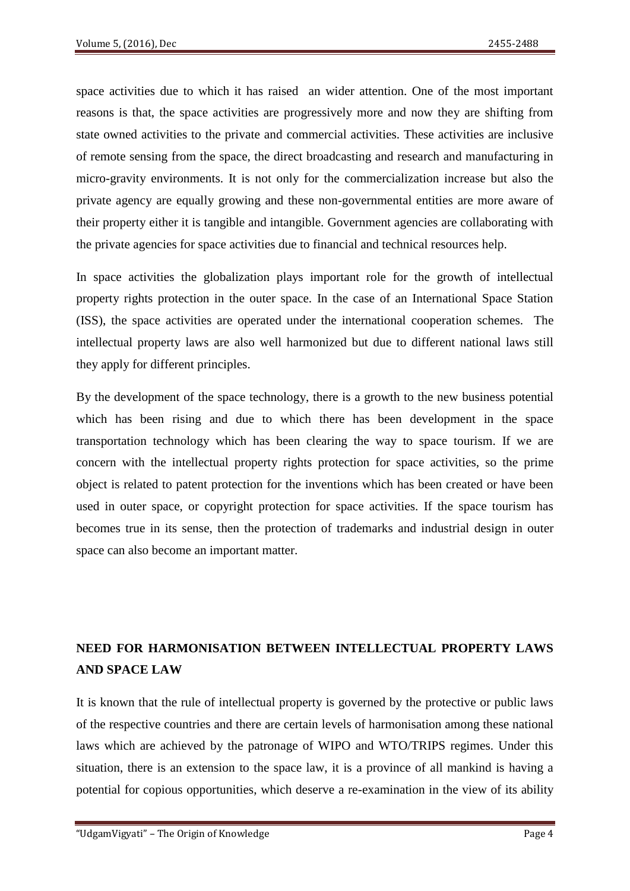space activities due to which it has raised an wider attention. One of the most important reasons is that, the space activities are progressively more and now they are shifting from state owned activities to the private and commercial activities. These activities are inclusive of remote sensing from the space, the direct broadcasting and research and manufacturing in micro-gravity environments. It is not only for the commercialization increase but also the private agency are equally growing and these non-governmental entities are more aware of their property either it is tangible and intangible. Government agencies are collaborating with the private agencies for space activities due to financial and technical resources help.

In space activities the globalization plays important role for the growth of intellectual property rights protection in the outer space. In the case of an International Space Station (ISS), the space activities are operated under the international cooperation schemes. The intellectual property laws are also well harmonized but due to different national laws still they apply for different principles.

By the development of the space technology, there is a growth to the new business potential which has been rising and due to which there has been development in the space transportation technology which has been clearing the way to space tourism. If we are concern with the intellectual property rights protection for space activities, so the prime object is related to patent protection for the inventions which has been created or have been used in outer space, or copyright protection for space activities. If the space tourism has becomes true in its sense, then the protection of trademarks and industrial design in outer space can also become an important matter.

# **NEED FOR HARMONISATION BETWEEN INTELLECTUAL PROPERTY LAWS AND SPACE LAW**

It is known that the rule of intellectual property is governed by the protective or public laws of the respective countries and there are certain levels of harmonisation among these national laws which are achieved by the patronage of WIPO and WTO/TRIPS regimes. Under this situation, there is an extension to the space law, it is a province of all mankind is having a potential for copious opportunities, which deserve a re-examination in the view of its ability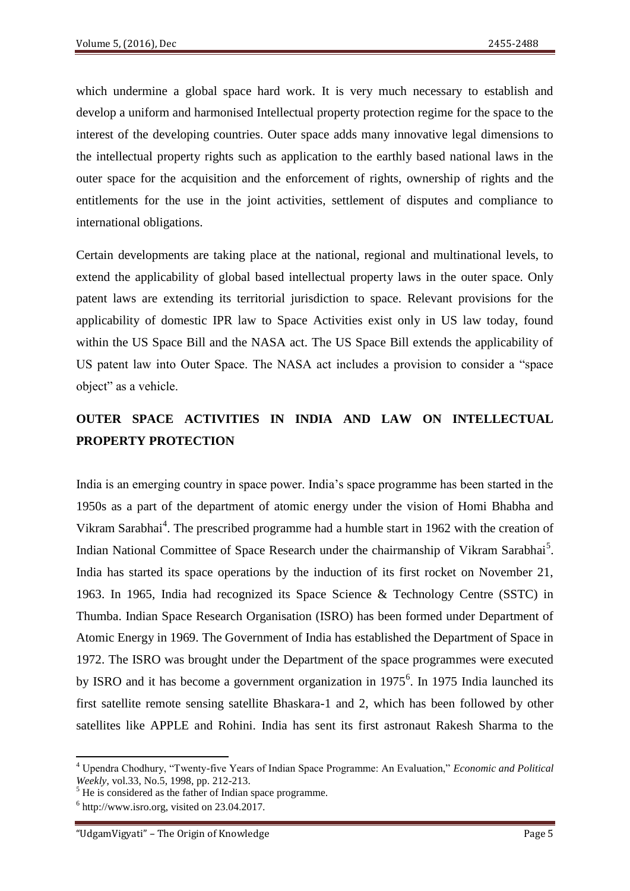which undermine a global space hard work. It is very much necessary to establish and develop a uniform and harmonised Intellectual property protection regime for the space to the interest of the developing countries. Outer space adds many innovative legal dimensions to the intellectual property rights such as application to the earthly based national laws in the outer space for the acquisition and the enforcement of rights, ownership of rights and the entitlements for the use in the joint activities, settlement of disputes and compliance to international obligations.

Certain developments are taking place at the national, regional and multinational levels, to extend the applicability of global based intellectual property laws in the outer space. Only patent laws are extending its territorial jurisdiction to space. Relevant provisions for the applicability of domestic IPR law to Space Activities exist only in US law today, found within the US Space Bill and the NASA act. The US Space Bill extends the applicability of US patent law into Outer Space. The NASA act includes a provision to consider a "space object" as a vehicle.

## **OUTER SPACE ACTIVITIES IN INDIA AND LAW ON INTELLECTUAL PROPERTY PROTECTION**

India is an emerging country in space power. India's space programme has been started in the 1950s as a part of the department of atomic energy under the vision of Homi Bhabha and Vikram Sarabhai<sup>4</sup>. The prescribed programme had a humble start in 1962 with the creation of Indian National Committee of Space Research under the chairmanship of Vikram Sarabhai<sup>5</sup>. India has started its space operations by the induction of its first rocket on November 21, 1963. In 1965, India had recognized its Space Science & Technology Centre (SSTC) in Thumba. Indian Space Research Organisation (ISRO) has been formed under Department of Atomic Energy in 1969. The Government of India has established the Department of Space in 1972. The ISRO was brought under the Department of the space programmes were executed by ISRO and it has become a government organization in 1975<sup>6</sup>. In 1975 India launched its first satellite remote sensing satellite Bhaskara-1 and 2, which has been followed by other satellites like APPLE and Rohini. India has sent its first astronaut Rakesh Sharma to the

 $\overline{a}$ 

<sup>4</sup> Upendra Chodhury, "Twenty-five Years of Indian Space Programme: An Evaluation," *Economic and Political Weekly*, vol.33, No.5, 1998, pp. 212-213.

<sup>&</sup>lt;sup>5</sup> He is considered as the father of Indian space programme.

 $6$  http://www.isro.org, visited on 23.04.2017.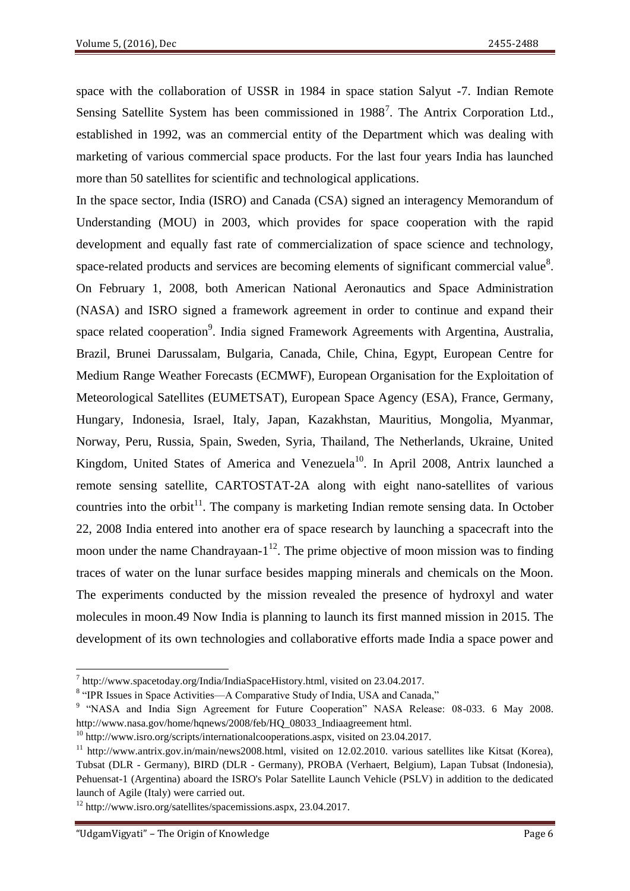space with the collaboration of USSR in 1984 in space station Salyut -7. Indian Remote Sensing Satellite System has been commissioned in 1988<sup>7</sup>. The Antrix Corporation Ltd., established in 1992, was an commercial entity of the Department which was dealing with marketing of various commercial space products. For the last four years India has launched more than 50 satellites for scientific and technological applications.

In the space sector, India (ISRO) and Canada (CSA) signed an interagency Memorandum of Understanding (MOU) in 2003, which provides for space cooperation with the rapid development and equally fast rate of commercialization of space science and technology, space-related products and services are becoming elements of significant commercial value<sup>8</sup>. On February 1, 2008, both American National Aeronautics and Space Administration (NASA) and ISRO signed a framework agreement in order to continue and expand their space related cooperation<sup>9</sup>. India signed Framework Agreements with Argentina, Australia, Brazil, Brunei Darussalam, Bulgaria, Canada, Chile, China, Egypt, European Centre for Medium Range Weather Forecasts (ECMWF), European Organisation for the Exploitation of Meteorological Satellites (EUMETSAT), European Space Agency (ESA), France, Germany, Hungary, Indonesia, Israel, Italy, Japan, Kazakhstan, Mauritius, Mongolia, Myanmar, Norway, Peru, Russia, Spain, Sweden, Syria, Thailand, The Netherlands, Ukraine, United Kingdom, United States of America and Venezuela<sup>10</sup>. In April 2008, Antrix launched a remote sensing satellite, CARTOSTAT-2A along with eight nano-satellites of various countries into the orbit<sup>11</sup>. The company is marketing Indian remote sensing data. In October 22, 2008 India entered into another era of space research by launching a spacecraft into the moon under the name Chandrayaan- $1^{12}$ . The prime objective of moon mission was to finding traces of water on the lunar surface besides mapping minerals and chemicals on the Moon. The experiments conducted by the mission revealed the presence of hydroxyl and water molecules in moon.49 Now India is planning to launch its first manned mission in 2015. The development of its own technologies and collaborative efforts made India a space power and

**.** 

 $^7$  http://www.spacetoday.org/India/IndiaSpaceHistory.html, visited on 23.04.2017.

<sup>&</sup>lt;sup>8</sup> "IPR Issues in Space Activities—A Comparative Study of India, USA and Canada,"

<sup>&</sup>lt;sup>9</sup> "NASA and India Sign Agreement for Future Cooperation" NASA Release: 08-033. 6 May 2008. http://www.nasa.gov/home/hqnews/2008/feb/HQ\_08033\_Indiaagreement html.

 $10$  http://www.isro.org/scripts/internationalcooperations.aspx, visited on 23.04.2017.

<sup>11</sup> http://www.antrix.gov.in/main/news2008.html, visited on 12.02.2010. various satellites like Kitsat (Korea), Tubsat (DLR - Germany), BIRD (DLR - Germany), PROBA (Verhaert, Belgium), Lapan Tubsat (Indonesia), Pehuensat-1 (Argentina) aboard the ISRO's Polar Satellite Launch Vehicle (PSLV) in addition to the dedicated launch of Agile (Italy) were carried out.

<sup>12</sup> http://www.isro.org/satellites/spacemissions.aspx, 23.04.2017.